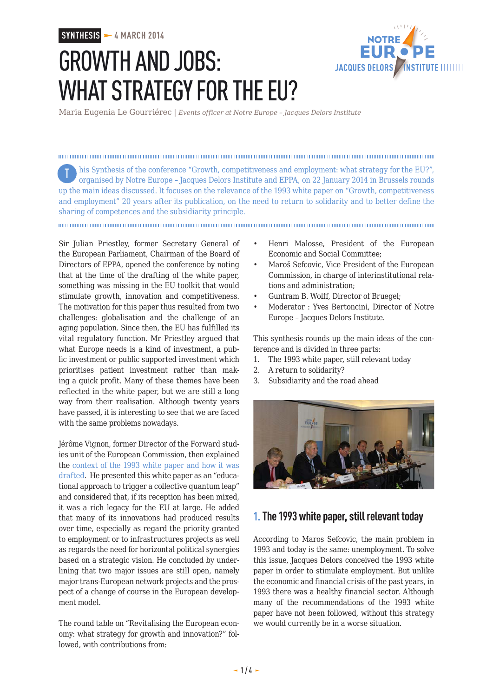### **SYNTHESIS - 4 MARCH 2014**

# GROWTH AND JOBS: WHAT STRATEGY FOR THE EU?



Maria Eugenia Le Gourriérec | *Events officer at Notre Europe – Jacques Delors Institute*

his Synthesis of the conference "Growth, competitiveness and employment: what strategy for the EU?", Torganised by Notre Europe – Jacques Delors Institute and EPPA, on 22 January 2014 in Brussels rounds up the main ideas discussed. It focuses on the relevance of the 1993 white paper on "Growth, competitiveness and employment" 20 years after its publication, on the need to return to solidarity and to better define the sharing of competences and the subsidiarity principle.

Sir Julian Priestley, former Secretary General of the European Parliament, Chairman of the Board of Directors of EPPA, opened the conference by noting that at the time of the drafting of the white paper, something was missing in the EU toolkit that would stimulate growth, innovation and competitiveness. The motivation for this paper thus resulted from two challenges: globalisation and the challenge of an aging population. Since then, the EU has fulfilled its vital regulatory function. Mr Priestley argued that what Europe needs is a kind of investment, a public investment or public supported investment which prioritises patient investment rather than making a quick profit. Many of these themes have been reflected in the white paper, but we are still a long way from their realisation. Although twenty years have passed, it is interesting to see that we are faced with the same problems nowadays.

Jérôme Vignon, former Director of the Forward studies unit of the European Commission, then explained the [context of the 1993 white paper and how it was](http://www.eng.notre-europe.eu/011-17781-The-rich-legacy-of-the-white-paper-on-Growth-competitiveness-and-employment.html) [drafted.](http://www.eng.notre-europe.eu/011-17781-The-rich-legacy-of-the-white-paper-on-Growth-competitiveness-and-employment.html) He presented this white paper as an "educational approach to trigger a collective quantum leap" and considered that, if its reception has been mixed, it was a rich legacy for the EU at large. He added that many of its innovations had produced results over time, especially as regard the priority granted to employment or to infrastructures projects as well as regards the need for horizontal political synergies based on a strategic vision. He concluded by underlining that two major issues are still open, namely major trans-European network projects and the prospect of a change of course in the European development model.

The round table on "Revitalising the European economy: what strategy for growth and innovation?" followed, with contributions from:

- Henri Malosse, President of the European Economic and Social Committee;
- Maroš Sefcovic, Vice President of the European Commission, in charge of interinstitutional relations and administration;
- Guntram B. Wolff, Director of Bruegel;
- Moderator : Yves Bertoncini, Director of Notre Europe – Jacques Delors Institute.

This synthesis rounds up the main ideas of the conference and is divided in three parts:

- 1. The 1993 white paper, still relevant today
- 2. A return to solidarity?
- 3. Subsidiarity and the road ahead



## **1. The 1993 white paper, still relevant today**

According to Maros Sefcovic, the main problem in 1993 and today is the same: unemployment. To solve this issue, Jacques Delors conceived the 1993 white paper in order to stimulate employment. But unlike the economic and financial crisis of the past years, in 1993 there was a healthy financial sector. Although many of the recommendations of the 1993 white paper have not been followed, without this strategy we would currently be in a worse situation.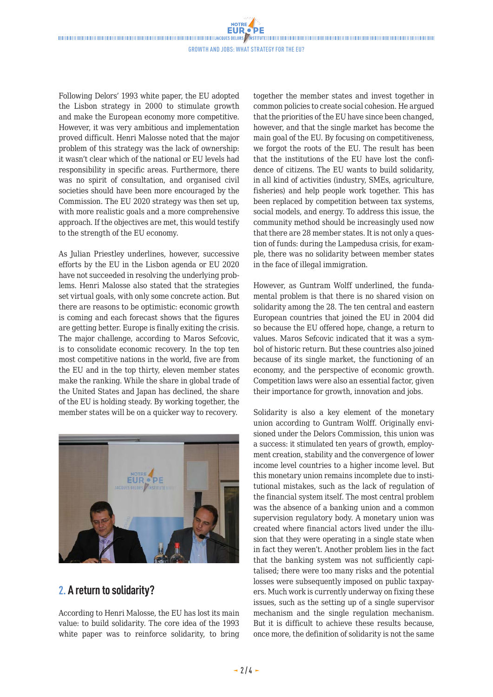#### Growth and Jobs: what strategy for the EU?

Following Delors' 1993 white paper, the EU adopted the Lisbon strategy in 2000 to stimulate growth and make the European economy more competitive. However, it was very ambitious and implementation proved difficult. Henri Malosse noted that the major problem of this strategy was the lack of ownership: it wasn't clear which of the national or EU levels had responsibility in specific areas. Furthermore, there was no spirit of consultation, and organised civil societies should have been more encouraged by the Commission. The EU 2020 strategy was then set up, with more realistic goals and a more comprehensive approach. If the objectives are met, this would testify to the strength of the EU economy.

As Julian Priestley underlines, however, successive efforts by the EU in the Lisbon agenda or EU 2020 have not succeeded in resolving the underlying problems. Henri Malosse also stated that the strategies set virtual goals, with only some concrete action. But there are reasons to be optimistic: economic growth is coming and each forecast shows that the figures are getting better. Europe is finally exiting the crisis. The major challenge, according to Maros Sefcovic, is to consolidate economic recovery. In the top ten most competitive nations in the world, five are from the EU and in the top thirty, eleven member states make the ranking. While the share in global trade of the United States and Japan has declined, the share of the EU is holding steady. By working together, the member states will be on a quicker way to recovery.



## **2. A return to solidarity?**

According to Henri Malosse, the EU has lost its main value: to build solidarity. The core idea of the 1993 white paper was to reinforce solidarity, to bring together the member states and invest together in common policies to create social cohesion. He argued that the priorities of the EU have since been changed, however, and that the single market has become the main goal of the EU. By focusing on competitiveness, we forgot the roots of the EU. The result has been that the institutions of the EU have lost the confidence of citizens. The EU wants to build solidarity, in all kind of activities (industry, SMEs, agriculture, fisheries) and help people work together. This has been replaced by competition between tax systems, social models, and energy. To address this issue, the community method should be increasingly used now that there are 28 member states. It is not only a question of funds: during the Lampedusa crisis, for example, there was no solidarity between member states in the face of illegal immigration.

However, as Guntram Wolff underlined, the fundamental problem is that there is no shared vision on solidarity among the 28. The ten central and eastern European countries that joined the EU in 2004 did so because the EU offered hope, change, a return to values. Maros Sefcovic indicated that it was a symbol of historic return. But these countries also joined because of its single market, the functioning of an economy, and the perspective of economic growth. Competition laws were also an essential factor*,* given their importance for growth, innovation and jobs.

Solidarity is also a key element of the monetary union according to Guntram Wolff. Originally envisioned under the Delors Commission, this union was a success: it stimulated ten years of growth, employment creation, stability and the convergence of lower income level countries to a higher income level. But this monetary union remains incomplete due to institutional mistakes, such as the lack of regulation of the financial system itself. The most central problem was the absence of a banking union and a common supervision regulatory body. A monetary union was created where financial actors lived under the illusion that they were operating in a single state when in fact they weren't. Another problem lies in the fact that the banking system was not sufficiently capitalised; there were too many risks and the potential losses were subsequently imposed on public taxpayers. Much work is currently underway on fixing these issues, such as the setting up of a single supervisor mechanism and the single regulation mechanism. But it is difficult to achieve these results because, once more, the definition of solidarity is not the same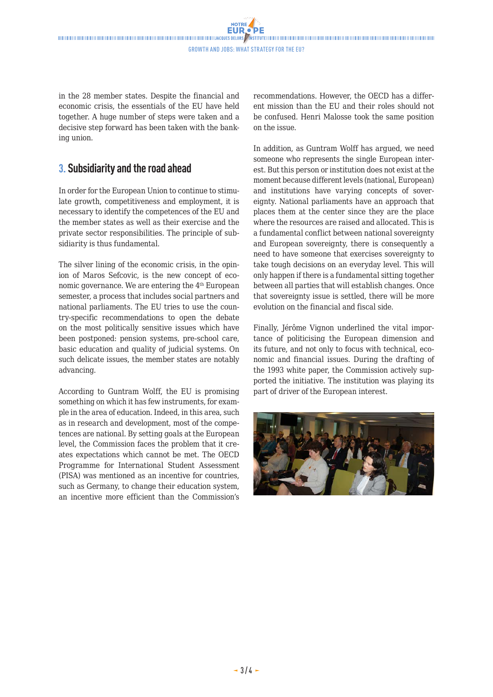in the 28 member states. Despite the financial and economic crisis, the essentials of the EU have held together. A huge number of steps were taken and a decisive step forward has been taken with the banking union.

# **3. Subsidiarity and the road ahead**

In order for the European Union to continue to stimulate growth, competitiveness and employment, it is necessary to identify the competences of the EU and the member states as well as their exercise and the private sector responsibilities. The principle of subsidiarity is thus fundamental.

The silver lining of the economic crisis, in the opinion of Maros Sefcovic, is the new concept of economic governance. We are entering the 4<sup>th</sup> European semester, a process that includes social partners and national parliaments. The EU tries to use the country-specific recommendations to open the debate on the most politically sensitive issues which have been postponed: pension systems, pre-school care, basic education and quality of judicial systems. On such delicate issues, the member states are notably advancing.

According to Guntram Wolff, the EU is promising something on which it has few instruments, for example in the area of education. Indeed, in this area, such as in research and development, most of the competences are national. By setting goals at the European level, the Commission faces the problem that it creates expectations which cannot be met. The OECD Programme for International Student Assessment (PISA) was mentioned as an incentive for countries, such as Germany, to change their education system, an incentive more efficient than the Commission's

recommendations. However, the OECD has a different mission than the EU and their roles should not be confused. Henri Malosse took the same position on the issue.

In addition, as Guntram Wolff has argued*,* we need someone who represents the single European interest. But this person or institution does not exist at the moment because different levels (national, European) and institutions have varying concepts of sovereignty. National parliaments have an approach that places them at the center since they are the place where the resources are raised and allocated. This is a fundamental conflict between national sovereignty and European sovereignty, there is consequently a need to have someone that exercises sovereignty to take tough decisions on an everyday level. This will only happen if there is a fundamental sitting together between all parties that will establish changes. Once that sovereignty issue is settled, there will be more evolution on the financial and fiscal side.

Finally, Jérôme Vignon underlined the vital importance of politicising the European dimension and its future, and not only to focus with technical, economic and financial issues. During the drafting of the 1993 white paper, the Commission actively supported the initiative. The institution was playing its part of driver of the European interest.